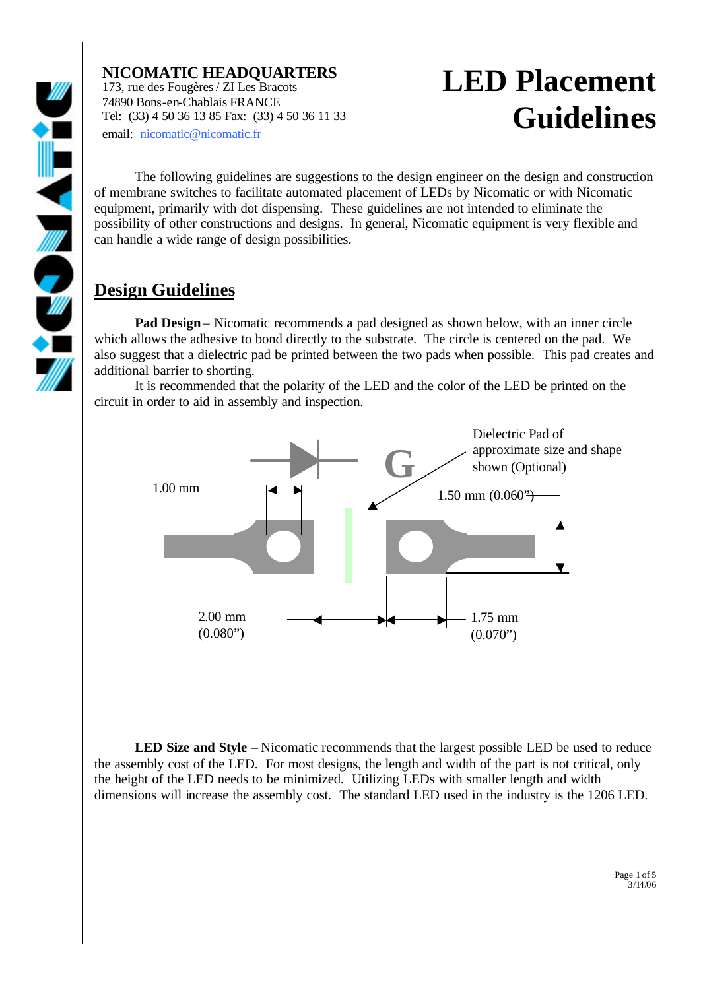

## **LED Placement Guidelines**

The following guidelines are suggestions to the design engineer on the design and construction of membrane switches to facilitate automated placement of LEDs by Nicomatic or with Nicomatic equipment, primarily with dot dispensing. These guidelines are not intended to eliminate the possibility of other constructions and designs. In general, Nicomatic equipment is very flexible and can handle a wide range of design possibilities.

#### **Design Guidelines**

**Pad Design**– Nicomatic recommends a pad designed as shown below, with an inner circle which allows the adhesive to bond directly to the substrate. The circle is centered on the pad. We also suggest that a dielectric pad be printed between the two pads when possible. This pad creates and additional barrier to shorting.

It is recommended that the polarity of the LED and the color of the LED be printed on the circuit in order to aid in assembly and inspection.



**LED Size and Style** – Nicomatic recommends that the largest possible LED be used to reduce the assembly cost of the LED. For most designs, the length and width of the part is not critical, only the height of the LED needs to be minimized. Utilizing LEDs with smaller length and width dimensions will increase the assembly cost. The standard LED used in the industry is the 1206 LED.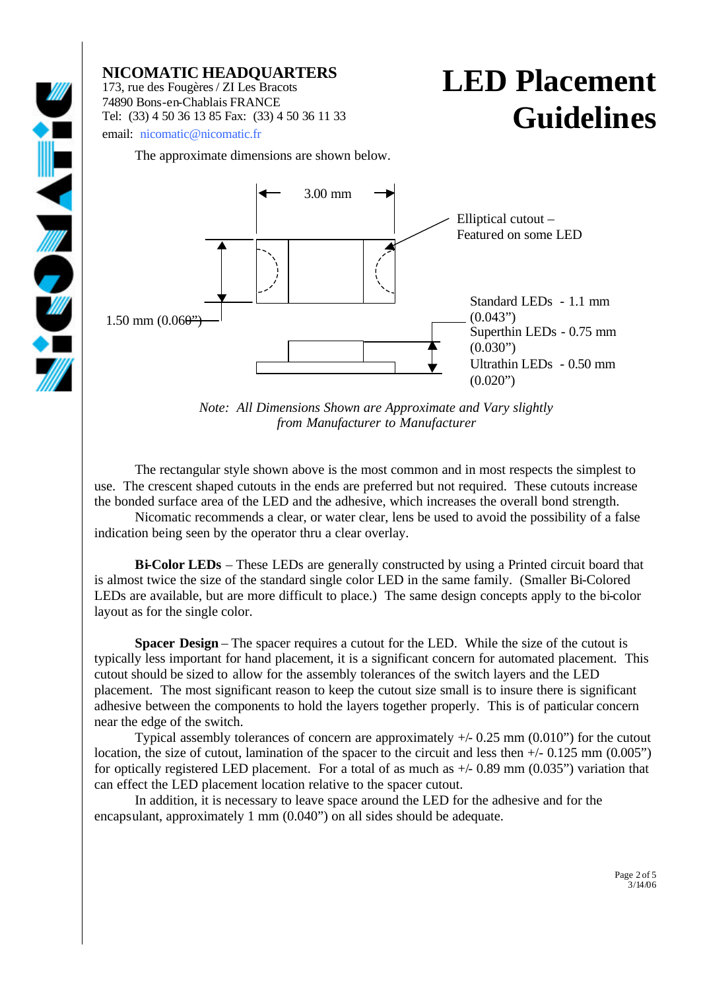## **LED Placement Guidelines**

The approximate dimensions are shown below.



*Note: All Dimensions Shown are Approximate and Vary slightly from Manufacturer to Manufacturer*

The rectangular style shown above is the most common and in most respects the simplest to use. The crescent shaped cutouts in the ends are preferred but not required. These cutouts increase the bonded surface area of the LED and the adhesive, which increases the overall bond strength.

Nicomatic recommends a clear, or water clear, lens be used to avoid the possibility of a false indication being seen by the operator thru a clear overlay.

**Bi-Color LEDs** – These LEDs are generally constructed by using a Printed circuit board that is almost twice the size of the standard single color LED in the same family. (Smaller Bi-Colored LEDs are available, but are more difficult to place.) The same design concepts apply to the bi-color layout as for the single color.

**Spacer Design** – The spacer requires a cutout for the LED. While the size of the cutout is typically less important for hand placement, it is a significant concern for automated placement. This cutout should be sized to allow for the assembly tolerances of the switch layers and the LED placement. The most significant reason to keep the cutout size small is to insure there is significant adhesive between the components to hold the layers together properly. This is of particular concern near the edge of the switch.

Typical assembly tolerances of concern are approximately  $+/- 0.25$  mm  $(0.010")$  for the cutout location, the size of cutout, lamination of the spacer to the circuit and less then  $+/- 0.125$  mm (0.005") for optically registered LED placement. For a total of as much as  $+/- 0.89$  mm (0.035") variation that can effect the LED placement location relative to the spacer cutout.

In addition, it is necessary to leave space around the LED for the adhesive and for the encapsulant, approximately 1 mm (0.040") on all sides should be adequate.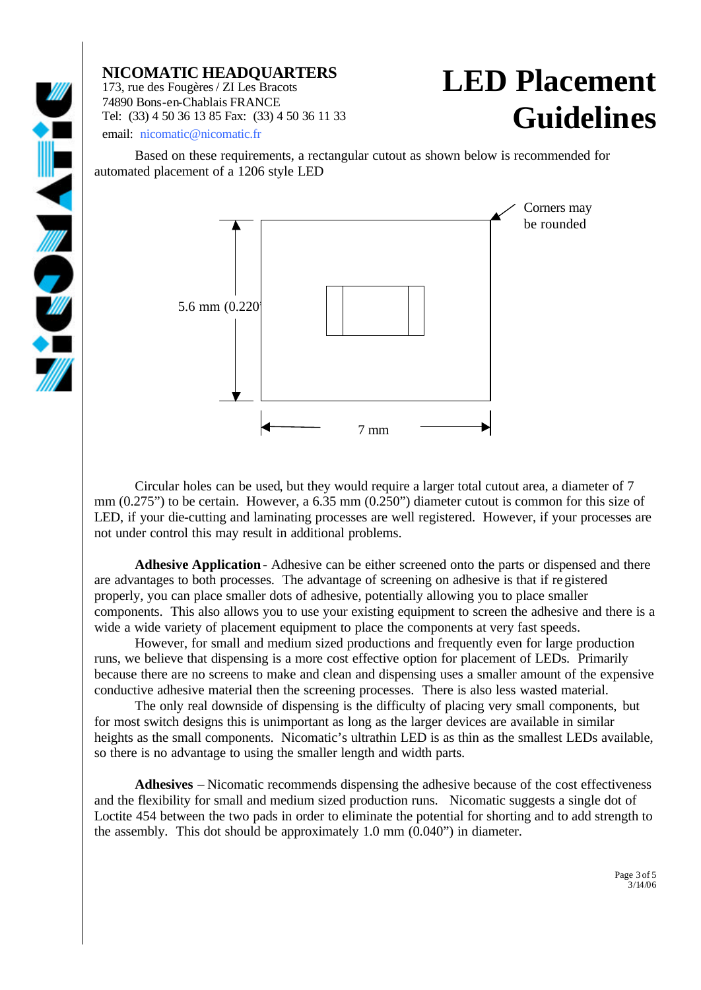#### **LED Placement Guidelines**

Based on these requirements, a rectangular cutout as shown below is recommended for automated placement of a 1206 style LED



Circular holes can be used, but they would require a larger total cutout area, a diameter of 7 mm (0.275") to be certain. However, a 6.35 mm (0.250") diameter cutout is common for this size of LED, if your die-cutting and laminating processes are well registered. However, if your processes are not under control this may result in additional problems.

**Adhesive Application**- Adhesive can be either screened onto the parts or dispensed and there are advantages to both processes. The advantage of screening on adhesive is that if registered properly, you can place smaller dots of adhesive, potentially allowing you to place smaller components. This also allows you to use your existing equipment to screen the adhesive and there is a wide a wide variety of placement equipment to place the components at very fast speeds.

However, for small and medium sized productions and frequently even for large production runs, we believe that dispensing is a more cost effective option for placement of LEDs. Primarily because there are no screens to make and clean and dispensing uses a smaller amount of the expensive conductive adhesive material then the screening processes. There is also less wasted material.

The only real downside of dispensing is the difficulty of placing very small components, but for most switch designs this is unimportant as long as the larger devices are available in similar heights as the small components. Nicomatic's ultrathin LED is as thin as the smallest LEDs available, so there is no advantage to using the smaller length and width parts.

**Adhesives** – Nicomatic recommends dispensing the adhesive because of the cost effectiveness and the flexibility for small and medium sized production runs. Nicomatic suggests a single dot of Loctite 454 between the two pads in order to eliminate the potential for shorting and to add strength to the assembly. This dot should be approximately 1.0 mm (0.040") in diameter.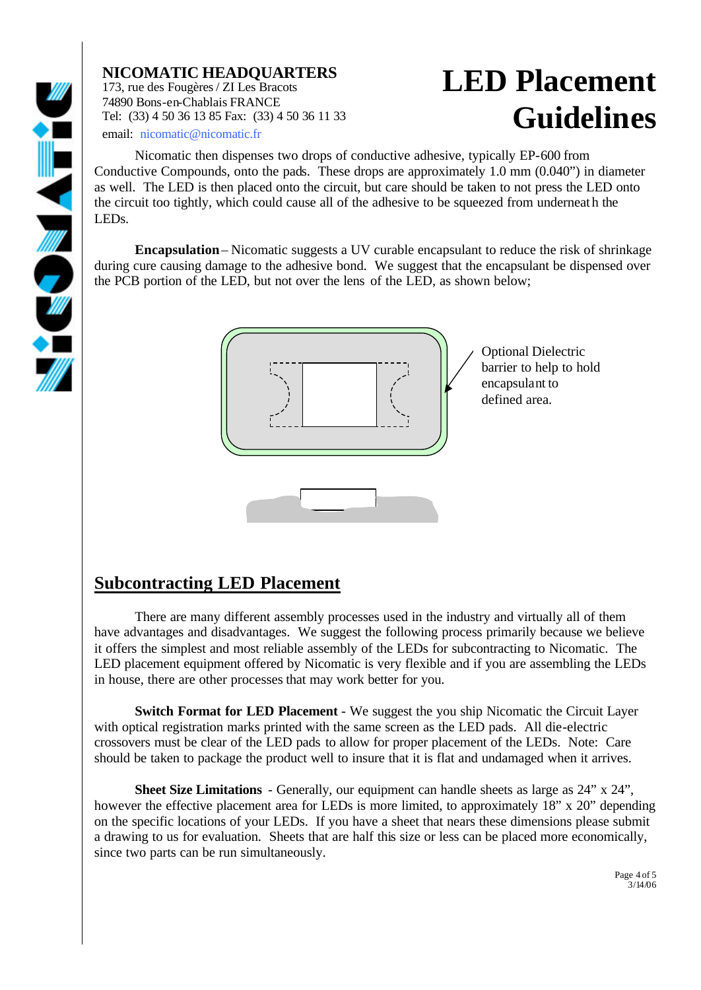### **LED Placement Guidelines**

Nicomatic then dispenses two drops of conductive adhesive, typically EP-600 from Conductive Compounds, onto the pads. These drops are approximately 1.0 mm (0.040") in diameter as well. The LED is then placed onto the circuit, but care should be taken to not press the LED onto the circuit too tightly, which could cause all of the adhesive to be squeezed from underneath the LEDs.

**Encapsulation**– Nicomatic suggests a UV curable encapsulant to reduce the risk of shrinkage during cure causing damage to the adhesive bond. We suggest that the encapsulant be dispensed over the PCB portion of the LED, but not over the lens of the LED, as shown below;



#### **Subcontracting LED Placement**

There are many different assembly processes used in the industry and virtually all of them have advantages and disadvantages. We suggest the following process primarily because we believe it offers the simplest and most reliable assembly of the LEDs for subcontracting to Nicomatic. The LED placement equipment offered by Nicomatic is very flexible and if you are assembling the LEDs in house, there are other processes that may work better for you.

**Switch Format for LED Placement** - We suggest the you ship Nicomatic the Circuit Layer with optical registration marks printed with the same screen as the LED pads. All die-electric crossovers must be clear of the LED pads to allow for proper placement of the LEDs. Note: Care should be taken to package the product well to insure that it is flat and undamaged when it arrives.

**Sheet Size Limitations** - Generally, our equipment can handle sheets as large as 24" x 24", however the effective placement area for LEDs is more limited, to approximately 18" x 20" depending on the specific locations of your LEDs. If you have a sheet that nears these dimensions please submit a drawing to us for evaluation. Sheets that are half this size or less can be placed more economically, since two parts can be run simultaneously.